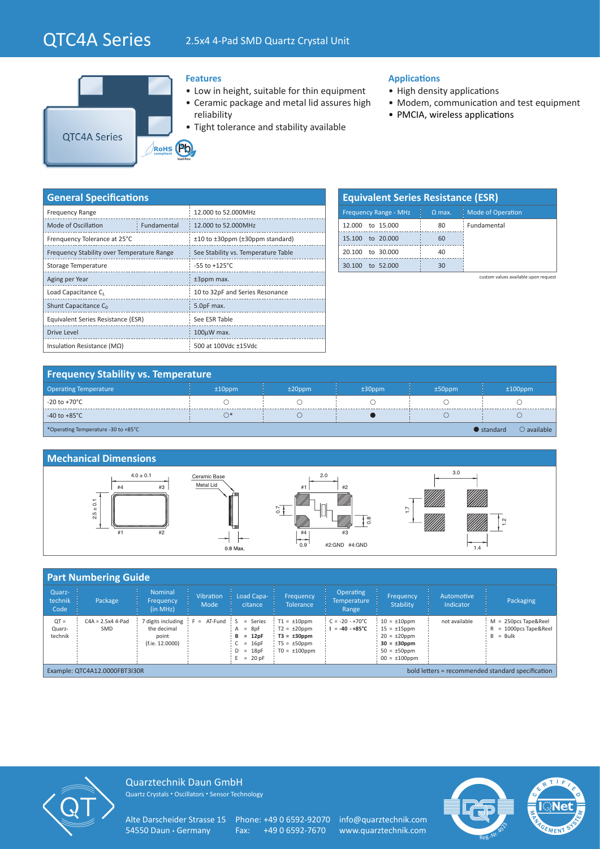# QTC4A Series 2.5x4 4-Pad SMD Quartz Crystal Unit



### **Features**

- Low in height, suitable for thin equipment
- Ceramic package and metal lid assures high reliability
- Tight tolerance and stability available

## **Applications**

- High density applications
- Modem, communication and test equipment
- PMCIA, wireless applications

| <b>General Specifications</b>              |             |                                          |  |  |  |  |  |
|--------------------------------------------|-------------|------------------------------------------|--|--|--|--|--|
| <b>Frequency Range</b>                     |             | 12.000 to 52.000MHz                      |  |  |  |  |  |
| Mode of Oscillation                        | Fundamental | 12,000 to 52,000MHz                      |  |  |  |  |  |
| Frenquency Tolerance at 25°C               |             | $±10$ to $±30$ ppm ( $±30$ ppm standard) |  |  |  |  |  |
| Frequency Stability over Temperature Range |             | See Stability vs. Temperature Table      |  |  |  |  |  |
| Storage Temperature                        |             | $-55$ to $+125^{\circ}$ C                |  |  |  |  |  |
| Aging per Year                             |             | ±3ppm max.                               |  |  |  |  |  |
| Load Capacitance C                         |             | 10 to 32pF and Series Resonance          |  |  |  |  |  |
| Shunt Capacitance C <sub>0</sub>           |             | 5.0pF max.                               |  |  |  |  |  |
| Equivalent Series Resistance (ESR)         |             | See ESR Table                            |  |  |  |  |  |
| <b>Drive Level</b>                         |             | $100\mu W$ max.                          |  |  |  |  |  |
| Insulation Resistance ( $M\Omega$ )        |             | 500 at 100Vdc ±15Vdc                     |  |  |  |  |  |

| <b>Equivalent Series Resistance (ESR)</b> |          |                          |  |  |  |  |  |  |
|-------------------------------------------|----------|--------------------------|--|--|--|--|--|--|
| <b>Frequency Range - MHz</b>              | $Q$ max. | <b>Mode of Operation</b> |  |  |  |  |  |  |
| 12,000 to 15,000                          | 80       | Fundamental              |  |  |  |  |  |  |
| 15,100 to 20,000                          | 60       |                          |  |  |  |  |  |  |
| 20.100 to 30.000                          | 40       |                          |  |  |  |  |  |  |
| to 52,000                                 | 30       |                          |  |  |  |  |  |  |

custom values available upon request

| <b>Frequency Stability vs. Temperature</b> |           |           |           |           |                                            |  |  |
|--------------------------------------------|-----------|-----------|-----------|-----------|--------------------------------------------|--|--|
| <b>Operating Temperature</b>               | $±10$ ppm | $±20$ ppm | $±30$ ppm | $±50$ ppm | $±100$ ppm                                 |  |  |
| -20 to +70 $^{\circ}$ C                    |           |           |           |           |                                            |  |  |
| $-40$ to $+85^{\circ}$ C                   | $\bigcap$ |           |           |           |                                            |  |  |
| *Operating Temperature -30 to +85°C        |           |           |           |           | $\bullet$ standard<br>$\bigcirc$ available |  |  |



| <b>Part Numbering Guide</b>                                                        |                            |                                                               |                            |                                                                      |                                                                                                     |                                                      |                                                                                                                             |                         |                                                                     |
|------------------------------------------------------------------------------------|----------------------------|---------------------------------------------------------------|----------------------------|----------------------------------------------------------------------|-----------------------------------------------------------------------------------------------------|------------------------------------------------------|-----------------------------------------------------------------------------------------------------------------------------|-------------------------|---------------------------------------------------------------------|
| Quarz-<br>technik<br>Code                                                          | Package                    | Nominal<br>Frequency<br>(in MHz)                              | <b>Vibration</b><br>Mode   | Load Capa-<br>citance                                                | Frequency<br><b>Tolerance</b>                                                                       | Operating<br><b>Temperature</b><br>Range             | Frequency<br><b>Stability</b>                                                                                               | Automotive<br>Indicator | Packaging                                                           |
| $QT =$<br>Quarz-<br>technik                                                        | $C4A = 2.5x4$ 4-Pad<br>SMD | 7 digits including<br>the decimal<br>point<br>(f.ie. 12.0000) | $F = AT-Fund$ $S = Series$ | $=$ 8pF<br>A<br>$= 12pF$<br>в<br>$= 16pF$<br>$D = 18pF$<br>$= 20 pF$ | $T1 = \pm 10$ ppm<br>$T2 = \pm 20$ ppm<br>$T3 = \pm 30$ ppm<br>$T5 = \pm 50$ ppm<br>$TO = ±100$ ppm | $C = -20 - +70^{\circ}C$<br>$I = -40 - +85^{\circ}C$ | $10 = \pm 10$ ppm<br>$15 = \pm 15$ ppm<br>$20 = \pm 20$ ppm<br>$30 = \pm 30$ ppm<br>$50 = \pm 50$ ppm<br>$00 = \pm 100$ ppm | not available           | $M = 250DCS$ Tape&Reel<br>= 1000pcs Tape&Reel<br>R<br>$=$ Bulk<br>B |
| bold letters = recommended standard specification<br>Example: QTC4A12.0000FBT3I30R |                            |                                                               |                            |                                                                      |                                                                                                     |                                                      |                                                                                                                             |                         |                                                                     |



Quarztechnik Daun GmbH Quartz Crystals • Oscillators • Sensor Technology

Alte Darscheider Strasse 15 Phone: +49 0 6592-92070 info@quarztechnik.com<br>54550 Daun · Germany Fax: +49 0 6592-7670 www.quarztechnik.com

Fax: +49 0 6592-7670 www.quarztechnik.com